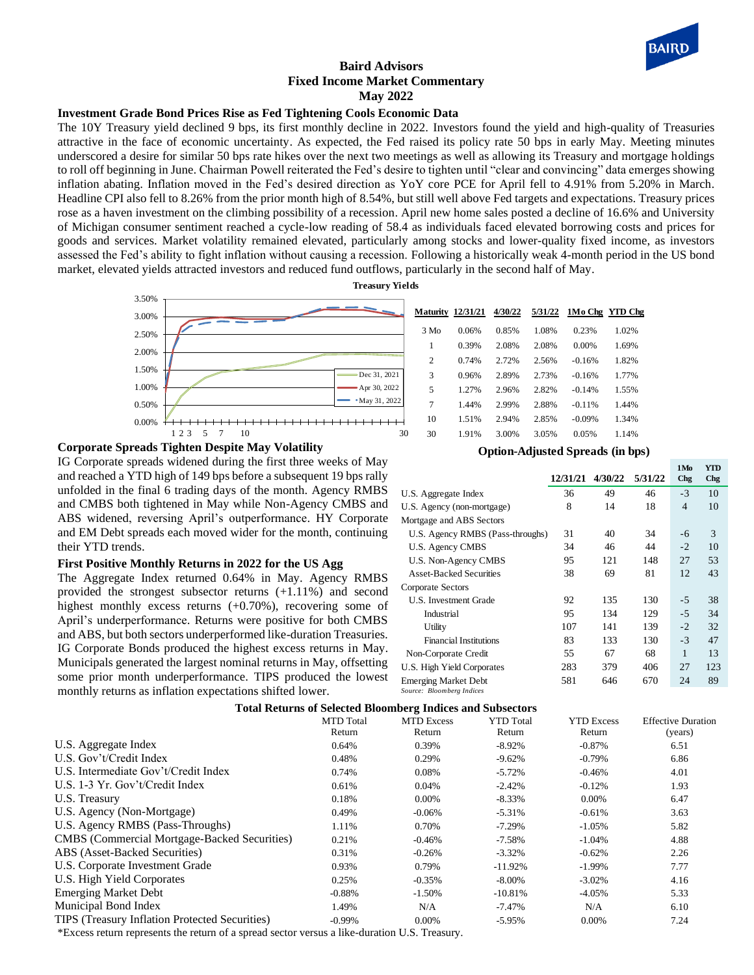

## **Baird Advisors Fixed Income Market Commentary May 2022**

# **Investment Grade Bond Prices Rise as Fed Tightening Cools Economic Data**

The 10Y Treasury yield declined 9 bps, its first monthly decline in 2022. Investors found the yield and high-quality of Treasuries attractive in the face of economic uncertainty. As expected, the Fed raised its policy rate 50 bps in early May. Meeting minutes underscored a desire for similar 50 bps rate hikes over the next two meetings as well as allowing its Treasury and mortgage holdings to roll off beginning in June. Chairman Powell reiterated the Fed's desire to tighten until "clear and convincing" data emerges showing inflation abating. Inflation moved in the Fed's desired direction as YoY core PCE for April fell to 4.91% from 5.20% in March. Headline CPI also fell to 8.26% from the prior month high of 8.54%, but still well above Fed targets and expectations. Treasury prices rose as a haven investment on the climbing possibility of a recession. April new home sales posted a decline of 16.6% and University of Michigan consumer sentiment reached a cycle-low reading of 58.4 as individuals faced elevated borrowing costs and prices for goods and services. Market volatility remained elevated, particularly among stocks and lower-quality fixed income, as investors assessed the Fed's ability to fight inflation without causing a recession. Following a historically weak 4-month period in the US bond market, elevated yields attracted investors and reduced fund outflows, particularly in the second half of May.



| <b>Maturity 12/31/21</b> |       | 4/30/22 | 5/31/22 | 1Mo Chg YTD Chg |       |
|--------------------------|-------|---------|---------|-----------------|-------|
| 3 Mo                     | 0.06% | 0.85%   | 1.08%   | 0.23%           | 1.02% |
| 1                        | 0.39% | 2.08%   | 2.08%   | 0.00%           | 1.69% |
| $\overline{c}$           | 0.74% | 2.72%   | 2.56%   | $-0.16%$        | 1.82% |
| 3                        | 0.96% | 2.89%   | 2.73%   | $-0.16%$        | 1.77% |
| 5                        | 1.27% | 2.96%   | 2.82%   | $-0.14%$        | 1.55% |
| 7                        | 1.44% | 2.99%   | 2.88%   | $-0.11%$        | 1.44% |
| 10                       | 1.51% | 2.94%   | 2.85%   | $-0.09%$        | 1.34% |
| 30                       | 1.91% | 3.00%   | 3.05%   | 0.05%           | 1.14% |

### **Corporate Spreads Tighten Despite May Volatility**

IG Corporate spreads widened during the first three weeks of May and reached a YTD high of 149 bps before a subsequent 19 bps rally unfolded in the final 6 trading days of the month. Agency RMBS and CMBS both tightened in May while Non-Agency CMBS and ABS widened, reversing April's outperformance. HY Corporate and EM Debt spreads each moved wider for the month, continuing their YTD trends.

#### **First Positive Monthly Returns in 2022 for the US Agg**

The Aggregate Index returned 0.64% in May. Agency RMBS provided the strongest subsector returns (+1.11%) and second highest monthly excess returns (+0.70%), recovering some of April's underperformance. Returns were positive for both CMBS and ABS, but both sectors underperformed like-duration Treasuries. IG Corporate Bonds produced the highest excess returns in May. Municipals generated the largest nominal returns in May, offsetting some prior month underperformance. TIPS produced the lowest monthly returns as inflation expectations shifted lower.

# **Option-Adjusted Spreads (in bps)**

| Opuon-Aujusicu opicaus (in ops)  |          |         |         |                               |                          |  |  |  |  |  |
|----------------------------------|----------|---------|---------|-------------------------------|--------------------------|--|--|--|--|--|
|                                  | 12/31/21 | 4/30/22 | 5/31/22 | 1M <sub>o</sub><br><b>Chg</b> | <b>YTD</b><br><b>Chg</b> |  |  |  |  |  |
| U.S. Aggregate Index             | 36       | 49      | 46      | $-3$                          | 10                       |  |  |  |  |  |
| U.S. Agency (non-mortgage)       | 8        | 14      | 18      | $\overline{4}$                | 10                       |  |  |  |  |  |
| Mortgage and ABS Sectors         |          |         |         |                               |                          |  |  |  |  |  |
| U.S. Agency RMBS (Pass-throughs) | 31       | 40      | 34      | -6                            | 3                        |  |  |  |  |  |
| U.S. Agency CMBS                 | 34       | 46      | 44      | $-2$                          | 10                       |  |  |  |  |  |
| U.S. Non-Agency CMBS             | 95       | 121     | 148     | 27                            | 53                       |  |  |  |  |  |
| <b>Asset-Backed Securities</b>   | 38       | 69      | 81      | 12                            | 43                       |  |  |  |  |  |
| Corporate Sectors                |          |         |         |                               |                          |  |  |  |  |  |
| U.S. Investment Grade            | 92       | 135     | 130     | -5                            | 38                       |  |  |  |  |  |
| Industrial                       | 95       | 134     | 129     | $-5$                          | 34                       |  |  |  |  |  |
| Utility                          | 107      | 141     | 139     | $-2$                          | 32                       |  |  |  |  |  |
| <b>Financial Institutions</b>    | 83       | 133     | 130     | $-3$                          | 47                       |  |  |  |  |  |
| Non-Corporate Credit             | 55       | 67      | 68      | 1                             | 13                       |  |  |  |  |  |
| U.S. High Yield Corporates       | 283      | 379     | 406     | 27                            | 123                      |  |  |  |  |  |
| <b>Emerging Market Debt</b>      | 581      | 646     | 670     | 24                            | 89                       |  |  |  |  |  |
| Source: Bloomberg Indices        |          |         |         |                               |                          |  |  |  |  |  |

#### **Total Returns of Selected Bloomberg Indices and Subsectors**

| Tomi including of percenta programmer granded and publication |                            |                             |                            |                             |                                      |  |  |  |  |
|---------------------------------------------------------------|----------------------------|-----------------------------|----------------------------|-----------------------------|--------------------------------------|--|--|--|--|
|                                                               | <b>MTD</b> Total<br>Return | <b>MTD</b> Excess<br>Return | <b>YTD</b> Total<br>Return | <b>YTD Excess</b><br>Return | <b>Effective Duration</b><br>(years) |  |  |  |  |
| U.S. Aggregate Index                                          |                            |                             |                            |                             |                                      |  |  |  |  |
|                                                               | 0.64%                      | 0.39%                       | $-8.92\%$                  | $-0.87%$                    | 6.51                                 |  |  |  |  |
| U.S. Gov't/Credit Index                                       | 0.48%                      | 0.29%                       | $-9.62%$                   | $-0.79%$                    | 6.86                                 |  |  |  |  |
| U.S. Intermediate Gov't/Credit Index                          | 0.74%                      | 0.08%                       | $-5.72%$                   | $-0.46%$                    | 4.01                                 |  |  |  |  |
| U.S. 1-3 Yr. Gov't/Credit Index                               | 0.61%                      | 0.04%                       | $-2.42%$                   | $-0.12%$                    | 1.93                                 |  |  |  |  |
| U.S. Treasury                                                 | 0.18%                      | 0.00%                       | $-8.33\%$                  | $0.00\%$                    | 6.47                                 |  |  |  |  |
| U.S. Agency (Non-Mortgage)                                    | 0.49%                      | $-0.06\%$                   | $-5.31%$                   | $-0.61%$                    | 3.63                                 |  |  |  |  |
| U.S. Agency RMBS (Pass-Throughs)                              | 1.11%                      | 0.70%                       | $-7.29\%$                  | $-1.05%$                    | 5.82                                 |  |  |  |  |
| CMBS (Commercial Mortgage-Backed Securities)                  | 0.21%                      | $-0.46%$                    | $-7.58\%$                  | $-1.04%$                    | 4.88                                 |  |  |  |  |
| ABS (Asset-Backed Securities)                                 | 0.31%                      | $-0.26%$                    | $-3.32\%$                  | $-0.62%$                    | 2.26                                 |  |  |  |  |
| U.S. Corporate Investment Grade                               | 0.93%                      | 0.79%                       | $-11.92%$                  | $-1.99\%$                   | 7.77                                 |  |  |  |  |
| U.S. High Yield Corporates                                    | 0.25%                      | $-0.35%$                    | $-8.00\%$                  | $-3.02\%$                   | 4.16                                 |  |  |  |  |
| <b>Emerging Market Debt</b>                                   | $-0.88%$                   | $-1.50%$                    | $-10.81\%$                 | $-4.05%$                    | 5.33                                 |  |  |  |  |
| Municipal Bond Index                                          | 1.49%                      | N/A                         | $-7.47\%$                  | N/A                         | 6.10                                 |  |  |  |  |
| TIPS (Treasury Inflation Protected Securities)                | $-0.99%$                   | 0.00%                       | $-5.95%$                   | 0.00%                       | 7.24                                 |  |  |  |  |

\*Excess return represents the return of a spread sector versus a like-duration U.S. Treasury.